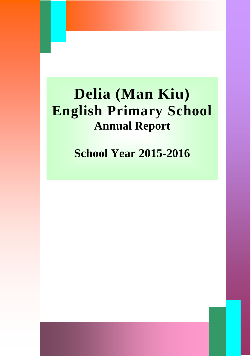# **Delia (Man Kiu) English Primary School Annual Report**

**School Year 2015-2016**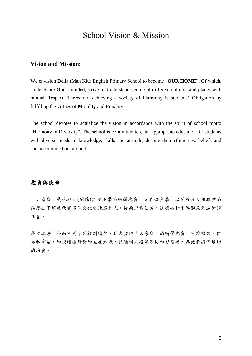# School Vision & Mission

#### **Vision and Mission:**

We envision Delia (Man Kiu) English Primary School to become "**OUR HOME**". Of which, students are **O**pen-minded, strive to **U**nderstand people of different cultures and places with mutual **R**espect. Thereafter, achieving a society of **H**armony is students' **O**bligation by fulfilling the virtues of **M**orality and **E**quality.

The school devotes to actualize the vision in accordance with the spirit of school motto "Harmony in Diversity". The school is committed to cater appropriate education for students with diverse needs in knowledge, skills and attitude, despite their ethnicities, beliefs and socioeconomic background.

#### 抱負與使命:

「大家庭」是地利亞(閩僑)英文小學的辦學抱負,旨在培育學生以開放及互相尊重的 態度去了解並欣賞不同文化與地域的人。從而以責任感、道德心和平等觀來創造和諧 社會。

學校本著「和而不同」的校訓精神,致力實現「大家庭」的辦學抱負。不論種族、信 仰和貧富,學校積極針對學生在知識、技能與人格等不同學習需要、為他們提供適切 的培養。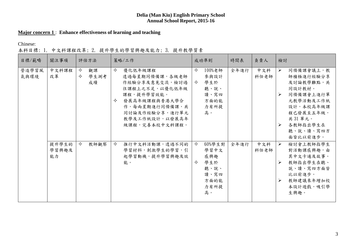#### **Delia (Man Kiu) English Primary School Annual School Report, 2015-16**

#### **Major concern 1** : **Enhance effectiveness of learning and teaching**

Chinese:

## 本科目標: 1. 中文科課程改革; 2. 提升學生的學習興趣及能力; 3. 提升教學質素

| 目標/範疇         | 關注事項                 |                        | 評估方法             |        | 策略/工作                                                                                                                                                                |                                          | 成功準則                                                               | 時間表  | 負責人         | 檢討                              |                                                                                                                                                  |
|---------------|----------------------|------------------------|------------------|--------|----------------------------------------------------------------------------------------------------------------------------------------------------------------------|------------------------------------------|--------------------------------------------------------------------|------|-------------|---------------------------------|--------------------------------------------------------------------------------------------------------------------------------------------------|
| 營造學習風<br>氣與環境 | 中文科課程<br>改革          | $\Leftrightarrow$<br>✧ | 觀課<br>學生測考<br>成績 | ✧<br>✧ | 優化低年級課程<br>透過每星期同儕備課,各級老師<br>作經驗分享及意見交流,檢討過<br>往課程上之不足,以優化低年級<br>課程,提升學習效能。<br>發展高年級課程與香港大學合<br>作,每兩星期進行同儕備課,共<br>同討論及作經驗分享,進行單元<br>教學及工作紙設計,以發展高年<br>級課程,完善本校中文科課程。 | $\Leftrightarrow$<br>✧                   | 100%老師<br>參與設計<br>學生於<br>聽、說、<br>讀、寫四<br>方面的能<br>力有所提<br>高。        | 全年進行 | 中文科<br>科任老師 | $\blacktriangleright$<br>≻<br>➤ | 同儕備課會議上,教<br>師積極進行經驗分享<br>及討論教學難點,共<br>同設計教材。<br>同儕備課會上進行單<br>元教學活動及工作紙<br>設計,本校高年級課<br>程已發展至五年級,<br>共31單元。<br>各教師指出學生在<br>聽、說、讀、寫四方<br>面皆比以前進步。 |
|               | 提升學生的<br>學習興趣及<br>能力 | ✧                      | 教師觀察             | ✧      | 推行中文科活動課,透過不同的<br>學習材料,刺激學生的學習,引<br>起學習動機,提升學習興趣及效<br>能。                                                                                                             | $\rightsquigarrow$<br>$\rightsquigarrow$ | 60%學生對<br>學習中文<br>感興趣<br>學生於<br>聽、說、<br>讀、寫四<br>方面的能<br>力有所提<br>高。 | 全年進行 | 中文科<br>科任老師 | $\blacktriangleright$<br>➤<br>➤ | 檢討會上教師指學生<br>對活動課感興趣,由<br>其中文卡通及故事。<br>教師指出學生在聽、<br>説、讀、寫四方面皆<br>比以前進步。<br>教師建議來年增加校<br>本設計遊戲,吸引學<br>生興趣。                                        |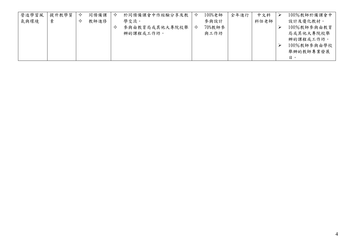| 營造學習風 | 提升教學質 | ᄿ | 同儕備課 | 於同儕備課會中作經驗分享及教 | ✧ | 100%老師 | 全年進行 | 中文科  | 100%教師於備課會中 |
|-------|-------|---|------|----------------|---|--------|------|------|-------------|
| 氣與環境  | 素     |   | 教師進修 | 學交流。           |   | 參與設計   |      | 科任老師 | 設計及優化教材。    |
|       |       |   |      | 參與由教育局或其他大專院校舉 | ✧ | 70%教師參 |      |      | 100%教師參與由教育 |
|       |       |   |      | 辦的課程或工作坊。      |   | 與工作坊   |      |      | 局或其他大專院校舉   |
|       |       |   |      |                |   |        |      |      | 辦的課程或工作坊。   |
|       |       |   |      |                |   |        |      |      | 100%教師參與由學校 |
|       |       |   |      |                |   |        |      |      | 舉辦的教師專業發展   |
|       |       |   |      |                |   |        |      |      | 日。          |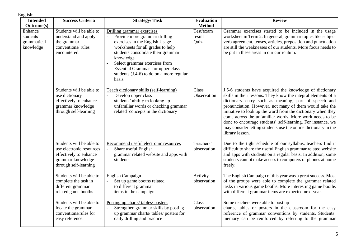English:

| <b>Intended</b><br><b>Outcome(s)</b>             | <b>Success Criteria</b>                                                                                                      | <b>Strategy/Task</b>                                                                                                                                                                                                                                                                                                                | <b>Evaluation</b><br><b>Method</b> | <b>Review</b>                                                                                                                                                                                                                                                                                                                                                                                                                                                                                                               |
|--------------------------------------------------|------------------------------------------------------------------------------------------------------------------------------|-------------------------------------------------------------------------------------------------------------------------------------------------------------------------------------------------------------------------------------------------------------------------------------------------------------------------------------|------------------------------------|-----------------------------------------------------------------------------------------------------------------------------------------------------------------------------------------------------------------------------------------------------------------------------------------------------------------------------------------------------------------------------------------------------------------------------------------------------------------------------------------------------------------------------|
| Enhance<br>students'<br>grammatical<br>knowledge | Students will be able to<br>understand and apply<br>the grammar<br>conventions/rules<br>encountered.                         | Drilling grammar exercises<br>Provide more grammar drilling<br>$\equiv$<br>exercises in the English Usage<br>worksheets for all grades to help<br>students consolidate their grammar<br>knowledge<br>Select grammar exercises from<br><b>Essential Grammar</b> for upper class<br>students (J.4-6) to do on a more regular<br>basis | Test/exam<br>result<br>Quiz        | Grammar exercises started to be included in the usage<br>worksheet in Term 2. In general, grammar topics like subject<br>verb agreement, tenses, articles, preposition and punctuation<br>are still the weaknesses of our students. More focus needs to<br>be put in these areas in our curriculum.                                                                                                                                                                                                                         |
|                                                  | Students will be able to<br>use dictionary<br>effectively to enhance<br>grammar knowledge<br>through self-learning           | Teach dictionary skills (self-learning)<br>Develop upper class<br>students' ability in looking up<br>unfamiliar words or checking grammar<br>related concepts in the dictionary                                                                                                                                                     | Class<br>Observation               | J.5-6 students have acquired the knowledge of dictionary<br>skills in their lessons. They know the integral elements of a<br>dictionary entry such as meaning, part of speech and<br>pronunciation. However, not many of them would take the<br>initiative to look up the word from the dictionary when they<br>come across the unfamiliar words. More work needs to be<br>done to encourage students' self-learning. For instance, we<br>may consider letting students use the online dictionary in the<br>library lesson. |
|                                                  | Students will be able to<br>use electronic resources<br>effectively to enhance<br>grammar knowledge<br>through self-learning | Recommend useful electronic resources<br>Share useful English<br>grammar related website and apps with<br>students                                                                                                                                                                                                                  | Teachers'<br>observation           | Due to the tight schedule of our syllabus, teachers find it<br>difficult to share the useful English grammar related website<br>and apps with students on a regular basis. In addition, some<br>students cannot make access to computers or phones at home<br>freely.                                                                                                                                                                                                                                                       |
|                                                  | Students will be able to<br>complete the task in<br>different grammar<br>related game booths                                 | English Campaign<br>Set up game booths related<br>to different grammar<br>items in the campaign                                                                                                                                                                                                                                     | Activity<br>observation            | The English Campaign of this year was a great success. Most<br>of the groups were able to complete the grammar related<br>tasks in various game booths. More interesting game booths<br>with different grammar items are expected next year.                                                                                                                                                                                                                                                                                |
|                                                  | Students will be able to<br>locate the grammar<br>conventions/rules for<br>easy reference.                                   | Posting up charts/tables/posters<br>Strengthen grammar skills by posting<br>up grammar charts/tables/posters for<br>daily drilling and practice                                                                                                                                                                                     | Class<br>observation               | Some teachers were able to post up<br>charts, tables or posters in the classroom for the easy<br>reference of grammar conventions by students. Students'<br>memory can be reinforced by referring to the grammar                                                                                                                                                                                                                                                                                                            |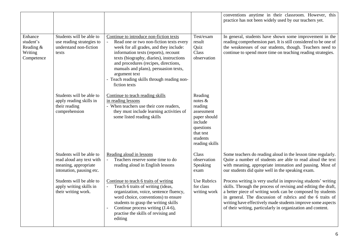|                                                            |                                                                                                          |                                                                                                                                                                                                                                                                                                                                                                                              |                                                                                                                                  | conventions anytime in their classroom. However, this<br>practice has not been widely used by our teachers yet.                                                                                                                                                                                                                                                                          |
|------------------------------------------------------------|----------------------------------------------------------------------------------------------------------|----------------------------------------------------------------------------------------------------------------------------------------------------------------------------------------------------------------------------------------------------------------------------------------------------------------------------------------------------------------------------------------------|----------------------------------------------------------------------------------------------------------------------------------|------------------------------------------------------------------------------------------------------------------------------------------------------------------------------------------------------------------------------------------------------------------------------------------------------------------------------------------------------------------------------------------|
| Enhance<br>student's<br>Reading &<br>Writing<br>Competence | Students will be able to<br>use reading strategies to<br>understand non-fiction<br>texts                 | Continue to introduce non-fiction texts<br>Read one or two non-fiction texts every<br>result<br>week for all grades, and they include:<br>information texts (reports), recount<br>texts (biography, diaries), instructions<br>and procedures (recipes, directions,<br>manuals and plans), persuasion texts,<br>argument text<br>- Teach reading skills through reading non-<br>fiction texts |                                                                                                                                  | In general, students have shown some improvement in the<br>reading comprehension part. It is still considered to be one of<br>the weaknesses of our students, though. Teachers need to<br>continue to spend more time on teaching reading strategies.                                                                                                                                    |
|                                                            | Students will be able to<br>apply reading skills in<br>their reading<br>comprehension                    | Continue to teach reading skills<br>in reading lessons<br>- When teachers use their core readers,<br>they must include learning activities of<br>some listed reading skills                                                                                                                                                                                                                  | Reading<br>notes $&$<br>reading<br>assessment<br>paper should<br>include<br>questions<br>that test<br>students<br>reading skills |                                                                                                                                                                                                                                                                                                                                                                                          |
|                                                            | Students will be able to<br>read aloud any text with<br>meaning, appropriate<br>intonation, pausing etc. | Reading aloud in lessons<br>Teachers reserve some time to do<br>$\blacksquare$<br>reading aloud in English lessons                                                                                                                                                                                                                                                                           | Class<br>observation<br>Speaking<br>exam                                                                                         | Some teachers do reading aloud in the lesson time regularly.<br>Quite a number of students are able to read aloud the text<br>with meaning, appropriate intonation and pausing. Most of<br>our students did quite well in the speaking exam.                                                                                                                                             |
|                                                            | Students will be able to<br>apply writing skills in<br>their writing work.                               | Continue to teach 6 traits of writing<br>Teach 6 traits of writing (ideas,<br>$\blacksquare$<br>organization, voice, sentence fluency,<br>word choice, conventions) to ensure<br>students to grasp the writing skills<br>Continue process writing (J.4-6),<br>$\sim$<br>practise the skills of revising and<br>editing                                                                       | <b>Use Rubrics</b><br>for class<br>writing work                                                                                  | Process writing is very useful in improving students' writing<br>skills. Through the process of revising and editing the draft,<br>a better piece of writing work can be composed by students<br>in general. The discussion of rubrics and the 6 traits of<br>writing have effectively made students improve some aspects<br>of their writing, particularly in organization and content. |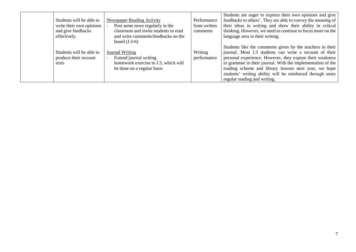| Students will be able to<br>write their own opinions<br>and give feedbacks<br>effectively. | Newspaper Reading Activity<br>Post some news regularly in the<br>classroom and invite students to read<br>and write comments/feedbacks on the<br>board $(J.3-6)$ | Performance<br>from written<br>comments | Students are eager to express their own opinions and give<br>feedbacks to others'. They are able to convey the meaning of<br>their ideas in writing and show their ability in critical<br>thinking. However, we need to continue to focus more on the<br>language area in their writing.                                                                                                                        |
|--------------------------------------------------------------------------------------------|------------------------------------------------------------------------------------------------------------------------------------------------------------------|-----------------------------------------|-----------------------------------------------------------------------------------------------------------------------------------------------------------------------------------------------------------------------------------------------------------------------------------------------------------------------------------------------------------------------------------------------------------------|
| Students will be able to<br>produce their recount<br>texts                                 | Journal Writing<br>Extend journal writing<br>homework exercise to J.3, which will<br>be done on a regular basis                                                  | Writing<br>performance                  | Students like the comments given by the teachers in their  <br>journal. Most J.3 students can write a recount of their<br>personal experience. However, they expose their weakness<br>in grammar in their journal. With the implementation of the $\vert$<br>reading scheme and library lessons next year, we hope<br>students' writing ability will be reinforced through more<br>regular reading and writing. |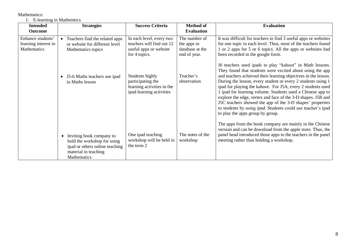Mathematics:

1. E-learning in Mathemtics

| <b>Intended</b><br><b>Outcome</b>                        | <b>Strategies</b>                                                                                                                | <b>Success Criteria</b>                                                                          | <b>Method of</b><br><b>Evaluation</b>                           | <b>Evaluation</b>                                                                                                                                                                                                                                                                                                                                                                                                                                                                                                                                                                                                     |
|----------------------------------------------------------|----------------------------------------------------------------------------------------------------------------------------------|--------------------------------------------------------------------------------------------------|-----------------------------------------------------------------|-----------------------------------------------------------------------------------------------------------------------------------------------------------------------------------------------------------------------------------------------------------------------------------------------------------------------------------------------------------------------------------------------------------------------------------------------------------------------------------------------------------------------------------------------------------------------------------------------------------------------|
| Enhance students'<br>learning interest in<br>Mathematics | Teachers find the related apps<br>or website for different level<br>Mathematics topics                                           | In each level, every two<br>teachers will find out 12<br>useful apps or website<br>for 4 topics. | The number of<br>the apps in<br>database at the<br>end of year. | It was difficult for teachers to find 3 useful apps or websites<br>for one topic in each level. Thus, most of the teachers found<br>1 or 2 apps for 5 or 6 topics. All the apps or websites had<br>been recorded in the google form.                                                                                                                                                                                                                                                                                                                                                                                  |
|                                                          | J5-6 Maths teachers use ipad<br>in Maths lesson                                                                                  | Students highly<br>participating the<br>learning activities in the<br>ipad learning activities   | Teacher's<br>observation                                        | J6 teachers used ipads to play "kahoot" in Math lessons.<br>They found that students were excited about using the app<br>and teachers achieved their learning objectives in the lesson.<br>During the lesson, every student or every 2 students using 1<br>ipad for playing the kahoot. For J5A, every 2 students used<br>1 ipad for learning volume. Students used a Chinese app to<br>explore the edge, vertex and face of the 3-D shapes. J5B and<br>J5C teachers showed the app of the 3-D shapes' properties<br>to students by using ipad. Students could use teacher's ipad<br>to play the apps group by group. |
|                                                          | Inviting book company to<br>hold the workshop for using<br>ipad or others online teaching<br>material in teaching<br>Mathematics | One ipad teaching<br>workshop will be held in<br>the term 2                                      | The notes of the<br>workshop                                    | The apps from the book company are mainly in the Chinese<br>version and can be download from the apple store. Thus, the<br>panel head introduced those apps to the teachers in the panel<br>meeting rather than holding a workshop.                                                                                                                                                                                                                                                                                                                                                                                   |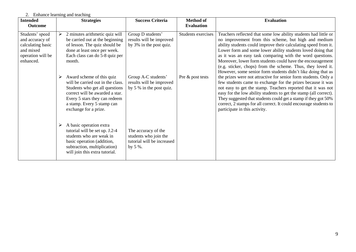#### 2. Enhance learning and teaching

| <b>Intended</b><br><b>Outcome</b>                                                                      |   | <b>Strategies</b>                                                                                                                                                                                                           | <b>Success Criteria</b>                                                                  | <b>Method of</b><br><b>Evaluation</b> | <b>Evaluation</b>                                                                                                                                                                                                                                                                                                                                                                                                                                                                                                   |
|--------------------------------------------------------------------------------------------------------|---|-----------------------------------------------------------------------------------------------------------------------------------------------------------------------------------------------------------------------------|------------------------------------------------------------------------------------------|---------------------------------------|---------------------------------------------------------------------------------------------------------------------------------------------------------------------------------------------------------------------------------------------------------------------------------------------------------------------------------------------------------------------------------------------------------------------------------------------------------------------------------------------------------------------|
| Students' speed<br>and accuracy of<br>calculating basic<br>and mixed<br>operation will be<br>enhanced. | ➤ | 2 minutes arithmetic quiz will<br>be carried out at the beginning<br>of lesson. The quiz should be<br>done at least once per week.<br>Each class can do 5-8 quiz per<br>month.                                              | Group D students'<br>results will be improved<br>by 3% in the post quiz.                 | Students exercises                    | Teachers reflected that some low ability students had little or<br>no improvement from this scheme, but high and medium<br>ability students could improve their calculating speed from it.<br>Lower form and some lower ability students loved doing that<br>as it was an easy task comparing with the word questions.<br>Moreover, lower form students could have the encouragement<br>(e.g. sticker, chops) from the scheme. Thus, they loved it.<br>However, some senior form students didn't like doing that as |
|                                                                                                        | ➤ | Award scheme of this quiz<br>will be carried out in the class.<br>Students who get all questions<br>correct will be awarded a star.<br>Every 5 stars they can redeem<br>a stamp. Every 5 stamp can<br>exchange for a prize. | Group A-C students'<br>results will be improved<br>by 5 % in the post quiz.              | Pre & post tests                      | the prizes were not attractive for senior form students. Only a<br>few students came to exchange for the prizes because it was<br>not easy to get the stamp. Teachers reported that it was not<br>easy for the low ability students to get the stamp (all correct).<br>They suggested that students could get a stamp if they got 50%<br>correct, 2 stamps for all correct. It could encourage students to<br>participate in this activity.                                                                         |
|                                                                                                        | ➤ | A basic operation extra<br>tutorial will be set up. J.2-4<br>students who are weak in<br>basic operation (addition,<br>subtraction, multiplication)<br>will join this extra tutorial.                                       | The accuracy of the<br>students who join the<br>tutorial will be increased<br>by $5\%$ . |                                       |                                                                                                                                                                                                                                                                                                                                                                                                                                                                                                                     |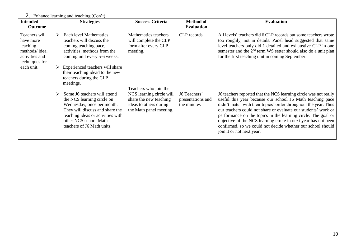# 2. Enhance learning and teaching (Con't)

| <b>Intended</b><br><b>Outcome</b>                                                                         | <b>Strategies</b>                                                                                                                                                                                                                                                                                                                                                                                                                                                                                 | <b>Success Criteria</b>                                                                                                                                                                                               | <b>Method of</b><br><b>Evaluation</b>                           | <b>Evaluation</b>                                                                                                                                                                                                                                                                                                                                                                                                                                                                                                                                                                                                                                                                                                                                                                                                                    |
|-----------------------------------------------------------------------------------------------------------|---------------------------------------------------------------------------------------------------------------------------------------------------------------------------------------------------------------------------------------------------------------------------------------------------------------------------------------------------------------------------------------------------------------------------------------------------------------------------------------------------|-----------------------------------------------------------------------------------------------------------------------------------------------------------------------------------------------------------------------|-----------------------------------------------------------------|--------------------------------------------------------------------------------------------------------------------------------------------------------------------------------------------------------------------------------------------------------------------------------------------------------------------------------------------------------------------------------------------------------------------------------------------------------------------------------------------------------------------------------------------------------------------------------------------------------------------------------------------------------------------------------------------------------------------------------------------------------------------------------------------------------------------------------------|
| Teachers will<br>have more<br>teaching<br>methods/idea,<br>activities and<br>techniques for<br>each unit. | <b>Each level Mathematics</b><br>⋗<br>teachers will discuss the<br>coming teaching pace,<br>activities, methods from the<br>coming unit every 5-6 weeks.<br>Experienced teachers will share<br>their teaching idead to the new<br>teachers during the CLP<br>meetings.<br>Some J6 teachers will attend<br>the NCS learning circle on<br>Wednesday, once per month.<br>They will discuss and share the<br>teaching ideas or activities with<br>other NCS school Math<br>teachers of J6 Math units. | Mathematics teachers<br>will complete the CLP<br>form after every CLP<br>meeting.<br>Teachers who join the<br>NCS learning circle will<br>share the new teaching<br>ideas to others during<br>the Math panel meeting. | CLP records<br>J6 Teachers'<br>presentations and<br>the minutes | All levels' teachers did 6 CLP records but some teachers wrote<br>too roughly, not in details. Panel head suggested that same<br>level teachers only did 1 detailed and exhaustive CLP in one<br>semester and the 2 <sup>nd</sup> term WS setter should also do a unit plan<br>for the first teaching unit in coming September.<br>J6 teachers reported that the NCS learning circle was not really<br>useful this year because our school J6 Math teaching pace<br>didn't match with their topics' order throughout the year. Thus<br>our teachers could not share or evaluate our students' work or<br>performance on the topics in the learning circle. The goal or<br>objective of the NCS learning circle in next year has not been<br>confirmed, so we could not decide whether our school should<br>join it or not next year. |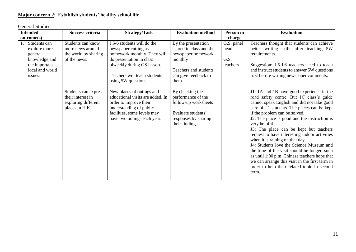# **Major concern 2**: **Establish students' healthy school life**

General Studies:

| <b>Intended</b>                                                                                         | Success criteria                                                                   | <b>Strategy/Task</b>                                                                                                                                                                               | <b>Evaluation method</b>                                                                                                                  | Person in                              | <b>Evaluation</b>                                                                                                                                                                                                                                                                                                                                                                                                                                                                                                                                                                                                                                                          |
|---------------------------------------------------------------------------------------------------------|------------------------------------------------------------------------------------|----------------------------------------------------------------------------------------------------------------------------------------------------------------------------------------------------|-------------------------------------------------------------------------------------------------------------------------------------------|----------------------------------------|----------------------------------------------------------------------------------------------------------------------------------------------------------------------------------------------------------------------------------------------------------------------------------------------------------------------------------------------------------------------------------------------------------------------------------------------------------------------------------------------------------------------------------------------------------------------------------------------------------------------------------------------------------------------------|
| outcome(s)                                                                                              |                                                                                    |                                                                                                                                                                                                    |                                                                                                                                           | charge                                 |                                                                                                                                                                                                                                                                                                                                                                                                                                                                                                                                                                                                                                                                            |
| Students can<br>explore more<br>general<br>knowledge and<br>the important<br>local and world<br>issues. | Students can know<br>more news around<br>the world by sharing<br>of the news.      | J.5-6 students will do the<br>newspaper cutting as<br>homework monthly. They will<br>do presentation in class<br>biweekly during GS lesson.<br>Teachers will teach students<br>using 5W questions. | By the presentation<br>shared in class and the<br>newspaper homework<br>monthly<br>Teachers and students<br>can give feedback to<br>them. | G.S. panel<br>head<br>G.S.<br>teachers | Teachers thought that students can achieve<br>better writing skills after teaching 5W<br>requirements.<br>Suggestion: J.5-J.6 teachers need to teach<br>and instruct students to answer 5W questions<br>first before writing newspaper comments.                                                                                                                                                                                                                                                                                                                                                                                                                           |
|                                                                                                         | Students can express<br>their interest in<br>exploring different<br>places in H.K. | New places of outings and<br>educational visits are added. In<br>order to improve their<br>understanding of public<br>facilities, some levels may<br>have two outings each year.                   | By checking the<br>performance of the<br>follow-up worksheets<br>Evaluate students'<br>responses by sharing<br>their findings.            |                                        | J1: 1A and 1B have good experience in the<br>road safety centre. But 1C class's guide<br>cannot speak English and did not take good<br>care of J.1 students. The places can be kept<br>if the problem can be solved.<br>J2: The place is good and the instruction is<br>very helpful.<br>J3: The place can be kept but teachers<br>request to have interesting indoor activities<br>when it is raining on that day.<br>J4: Students love the Science Museum and<br>the time of the visit should be longer, such<br>as until 1:00 p.m. Chinese teachers hope that<br>we can arrange this visit in the first term in<br>order to help their related topic in second<br>term. |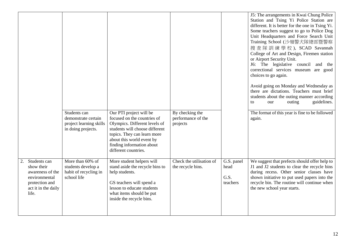|                                                                                                                         |                                                                                      |                                                                                                                                                                                                                                            |                                                   |                                        | J5: The arrangements in Kwai Chung Police<br>Station and Tsing Yi Police Station are<br>different. It is better for the one in Tsing Yi.<br>Some teachers suggest to go to Police Dog<br>Unit Headquarters and Force Search Unit<br>Training School (沙嶺警犬隊總部暨警察<br>搜查隊訓練學校), SCAD Savannah<br>College of Art and Design, Firemen station<br>or Airport Security Unit.<br>J6: The legislative council and the<br>correctional services museum are good<br>choices to go again.<br>Avoid going on Monday and Wednesday as<br>there are dictations. Teachers must brief<br>students about the outing manner according<br>guidelines.<br>outing<br>to<br>our |
|-------------------------------------------------------------------------------------------------------------------------|--------------------------------------------------------------------------------------|--------------------------------------------------------------------------------------------------------------------------------------------------------------------------------------------------------------------------------------------|---------------------------------------------------|----------------------------------------|----------------------------------------------------------------------------------------------------------------------------------------------------------------------------------------------------------------------------------------------------------------------------------------------------------------------------------------------------------------------------------------------------------------------------------------------------------------------------------------------------------------------------------------------------------------------------------------------------------------------------------------------------------|
|                                                                                                                         | Students can<br>demonstrate certain<br>project learning skills<br>in doing projects. | Our PTI project will be<br>focused on the countries of<br>Olympics. Different levels of<br>students will choose different<br>topics. They can learn more<br>about this world event by<br>finding information about<br>different countries. | By checking the<br>performance of the<br>projects |                                        | The format of this year is fine to be followed<br>again.                                                                                                                                                                                                                                                                                                                                                                                                                                                                                                                                                                                                 |
| Students can<br>2.<br>show their<br>awareness of the<br>environmental<br>protection and<br>act it in the daily<br>life. | More than 60% of<br>students develop a<br>habit of recycling in<br>school life       | More student helpers will<br>stand aside the recycle bins to<br>help students.<br>GS teachers will spend a<br>lesson to educate students<br>what items should be put<br>inside the recycle bins.                                           | Check the utilisation of<br>the recycle bins.     | G.S. panel<br>head<br>G.S.<br>teachers | We suggest that prefects should offer help to<br>J1 and J2 students to clear the recycle bins<br>during recess. Other senior classes have<br>shown initiative to put used papers into the<br>recycle bin. The routine will continue when<br>the new school year starts.                                                                                                                                                                                                                                                                                                                                                                                  |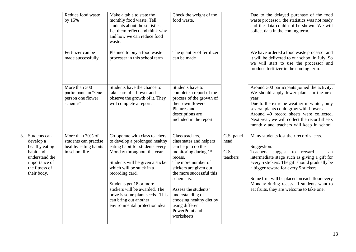|                                                                                                                                    | Reduce food waste<br>by 15%                                                           | Make a table to state the<br>monthly food waste. Tell<br>students about the statistics.<br>Let them reflect and think why<br>and how we can reduce food<br>waste.                                                                                                                                                                                                               | Check the weight of the<br>food waste.                                                                                                                                                                                                                                                                                     |                                        | Due to the delayed purchase of the food<br>waste processor, the statistics was not ready<br>and the data could not be shown. We will<br>collect data in the coming term.                                                                                                                                                                                                            |
|------------------------------------------------------------------------------------------------------------------------------------|---------------------------------------------------------------------------------------|---------------------------------------------------------------------------------------------------------------------------------------------------------------------------------------------------------------------------------------------------------------------------------------------------------------------------------------------------------------------------------|----------------------------------------------------------------------------------------------------------------------------------------------------------------------------------------------------------------------------------------------------------------------------------------------------------------------------|----------------------------------------|-------------------------------------------------------------------------------------------------------------------------------------------------------------------------------------------------------------------------------------------------------------------------------------------------------------------------------------------------------------------------------------|
|                                                                                                                                    | Fertilizer can be<br>made successfully                                                | Planned to buy a food waste<br>processer in this school term                                                                                                                                                                                                                                                                                                                    | The quantity of fertilizer<br>can be made                                                                                                                                                                                                                                                                                  |                                        | We have ordered a food waste processor and<br>it will be delivered to our school in July. So<br>we will start to use the processor and<br>produce fertilizer in the coming term.                                                                                                                                                                                                    |
|                                                                                                                                    | More than 300<br>participants in "One<br>person one flower<br>scheme"                 | Students have the chance to<br>take care of a flower and<br>observe the growth of it. They<br>will complete a report.                                                                                                                                                                                                                                                           | Students have to<br>complete a report of the<br>process of the growth of<br>their own flowers.<br>Pictures and<br>descriptions are<br>included in the report.                                                                                                                                                              |                                        | Around 300 participants joined the activity.<br>We should apply fewer plants in the next<br>year.<br>Due to the extreme weather in winter, only<br>several plants could grow with flowers.<br>Around 40 record sheets were collected.<br>Next year, we will collect the record sheets<br>monthly and teachers will keep in school.                                                  |
| Students can<br>3.<br>develop a<br>healthy eating<br>habit and<br>understand the<br>importance of<br>the fitness of<br>their body. | More than 70% of<br>students can practise<br>healthy eating habits<br>in school life. | Co-operate with class teachers<br>to develop a prolonged healthy<br>eating habit for students every<br>Monday throughout the year.<br>Students will be given a sticker<br>which will be stuck in a<br>recording card.<br>Students get 18 or more<br>stickers will be awarded. The<br>prize is some plant seeds. This<br>can bring out another<br>environmental protection idea. | Class teachers,<br>classmates and helpers<br>can help to do the<br>monitoring during 1st<br>recess.<br>The more number of<br>stickers are given out,<br>the more successful this<br>scheme is.<br>Assess the students'<br>understanding of<br>choosing healthy diet by<br>using different<br>PowerPoint and<br>worksheets. | G.S. panel<br>head<br>G.S.<br>teachers | Many students lost their record sheets.<br>Suggestion:<br>Teachers suggest to reward<br>at an<br>intermediate stage such as giving a gift for<br>every 5 stickers. The gift should gradually be<br>a bigger reward for every 5 stickers.<br>Some fruit will be placed on each floor every<br>Monday during recess. If students want to<br>eat fruits, they are welcome to take one. |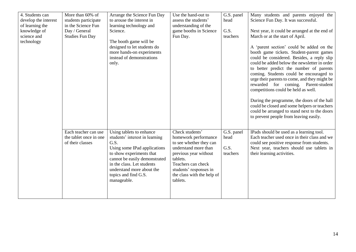| 4. Students can<br>develop the interest<br>of learning the<br>knowledge of<br>science and<br>technology | More than 60% of<br>students participate<br>in the Science Fun<br>Day / General<br><b>Studies Fun Day</b> | Arrange the Science Fun Day<br>to arouse the interest in<br>learning technology and<br>Science.<br>The booth game will be<br>designed to let students do<br>more hands-on experiments<br>instead of demonstrations<br>only.                                       | Use the hand-out to<br>assess the students'<br>understanding of the<br>game booths in Science<br>Fun Day.                                                                                                                 | G.S. panel<br>head<br>G.S.<br>teachers | Many students and parents enjoyed the<br>Science Fun Day. It was successful.<br>Next year, it could be arranged at the end of<br>March or at the start of April.<br>A 'parent section' could be added on the<br>booth game tickets. Student-parent games<br>could be considered. Besides, a reply slip<br>could be added below the newsletter in order<br>to better predict the number of parents<br>coming. Students could be encouraged to<br>urge their parents to come, and they might be<br>rewarded for coming. Parent-student<br>competitions could be held as well.<br>During the programme, the doors of the hall<br>could be closed and some helpers or teachers<br>could be arranged to stand next to the doors<br>to prevent people from leaving easily. |
|---------------------------------------------------------------------------------------------------------|-----------------------------------------------------------------------------------------------------------|-------------------------------------------------------------------------------------------------------------------------------------------------------------------------------------------------------------------------------------------------------------------|---------------------------------------------------------------------------------------------------------------------------------------------------------------------------------------------------------------------------|----------------------------------------|----------------------------------------------------------------------------------------------------------------------------------------------------------------------------------------------------------------------------------------------------------------------------------------------------------------------------------------------------------------------------------------------------------------------------------------------------------------------------------------------------------------------------------------------------------------------------------------------------------------------------------------------------------------------------------------------------------------------------------------------------------------------|
|                                                                                                         | Each teacher can use<br>the tablet once in one<br>of their classes                                        | Using tablets to enhance<br>students' interest in learning<br>G.S.<br>Using some IPad applications<br>to show experiments that<br>cannot be easily demonstrated<br>in the class. Let students<br>understand more about the<br>topics and find G.S.<br>manageable. | Check students'<br>homework performance<br>to see whether they can<br>understand more than<br>previous year without<br>tablets.<br>Teachers can check<br>students' responses in<br>the class with the help of<br>tablets. | G.S. panel<br>head<br>G.S.<br>teachers | IPads should be used as a learning tool.<br>Each teacher used once in their class and we<br>could see positive response from students.<br>Next year, teachers should use tablets in<br>their learning activities.                                                                                                                                                                                                                                                                                                                                                                                                                                                                                                                                                    |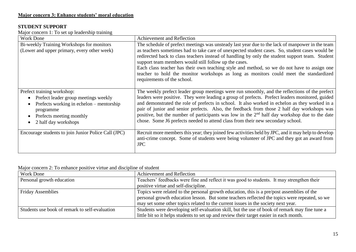## **STUDENT SUPPORT**

Major concern 1: To set up leadership training

| <b>Work Done</b>                                                                                                                                                                  | Achievement and Reflection                                                                                                                                                                                                                                                                                                                                                                                                                                                                                                                                                                        |
|-----------------------------------------------------------------------------------------------------------------------------------------------------------------------------------|---------------------------------------------------------------------------------------------------------------------------------------------------------------------------------------------------------------------------------------------------------------------------------------------------------------------------------------------------------------------------------------------------------------------------------------------------------------------------------------------------------------------------------------------------------------------------------------------------|
| Bi-weekly Training Workshops for monitors                                                                                                                                         | The schedule of prefect meetings was unsteady last year due to the lack of manpower in the team                                                                                                                                                                                                                                                                                                                                                                                                                                                                                                   |
| (Lower and upper primary, every other week)                                                                                                                                       | as teachers sometimes had to take care of unexpected student cases. So, student cases would be<br>redirected back to class teachers instead of handling by only the student support team. Student<br>support team members would still follow up the cases.<br>Each class teacher has their own teaching style and method, so we do not have to assign one<br>teacher to hold the monitor workshops as long as monitors could meet the standardized<br>requirements of the school.                                                                                                                 |
| Prefect training workshop:<br>• Prefect leader group meetings weekly<br>Prefects working in echelon – mentorship<br>programme<br>Prefects meeting monthly<br>2 half day workshops | The weekly prefect leader group meetings were run smoothly, and the reflections of the prefect<br>leaders were positive. They were leading a group of prefects. Prefect leaders monitored, guided<br>and demonstrated the role of prefects in school. It also worked in echelon as they worked in a<br>pair of junior and senior prefects. Also, the feedback from those 2 half day workshops was<br>positive, but the number of participants was low in the 2 <sup>nd</sup> half day workshop due to the date<br>chose. Some J6 prefects needed to attend class from their new secondary school. |
| Encourage students to join Junior Police Call (JPC)                                                                                                                               | Recruit more members this year; they joined few activities held by JPC, and it may help to develop<br>anti-crime concept. Some of students were being volunteer of JPC and they got an award from<br><b>JPC</b>                                                                                                                                                                                                                                                                                                                                                                                   |

| <b>Work Done</b>                               | Achievement and Reflection                                                                    |  |
|------------------------------------------------|-----------------------------------------------------------------------------------------------|--|
| Personal growth education                      | Teachers' feedbacks were fine and reflect it was good to students. It may strengthen their    |  |
|                                                | positive virtue and self-discipline.                                                          |  |
| <b>Friday Assemblies</b>                       | Topics were related to the personal growth education, this is a pre/post assemblies of the    |  |
|                                                | personal growth education lesson. But some teachers reflected the topics were repeated, so we |  |
|                                                | may set some other topics related to the current issues in the society next year.             |  |
| Students use book of remark to self-evaluation | Students were developing self-evaluation skill, but the use of book of remark may fine tune a |  |
|                                                | little bit so it helps students to set up and review their target easier in each month.       |  |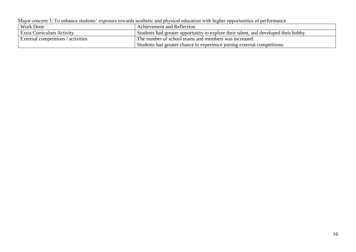| $\mu$ , $\mu$ , $\mu$ , $\mu$ , $\mu$ , $\mu$ , $\mu$ , $\mu$ , $\mu$ , $\mu$ , $\mu$ , $\mu$ , $\mu$ , $\mu$ , $\mu$ , $\mu$ , $\mu$ , $\mu$ , $\mu$ , $\mu$ , $\mu$ , $\mu$ , $\mu$ , $\mu$ , $\mu$ , $\mu$ , $\mu$ , $\mu$ , $\mu$ , $\mu$ , $\mu$ , $\mu$ |                                                                                       |  |
|---------------------------------------------------------------------------------------------------------------------------------------------------------------------------------------------------------------------------------------------------------------|---------------------------------------------------------------------------------------|--|
| <b>Work Done</b>                                                                                                                                                                                                                                              | Achievement and Reflection                                                            |  |
| Extra Curriculum Activity                                                                                                                                                                                                                                     | 'Students had greater opportunity to explore their talent, and developed their hobby. |  |
| External competitions / activities                                                                                                                                                                                                                            | The number of school teams and members was increased.                                 |  |
|                                                                                                                                                                                                                                                               | Students had greater chance to experience joining external competitions.              |  |

Major concern 3: To enhance students' exposure towards aesthetic and physical education with higher opportunities of performance